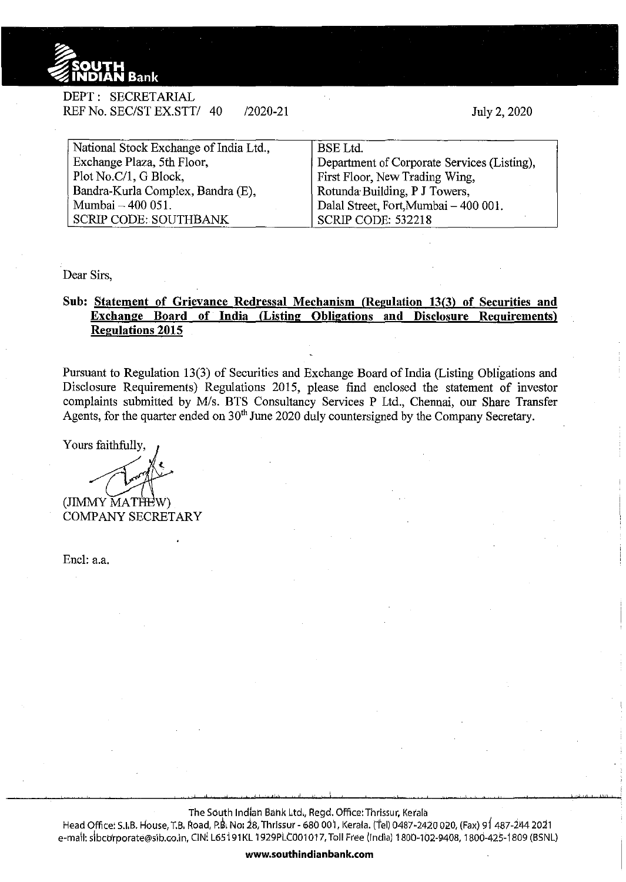

| DEPT : SECRETARIAL        |              |
|---------------------------|--------------|
| REF No. SEC/ST EX.STT/ 40 | $/2020 - 21$ |

July 2, 2020

| National Stock Exchange of India Ltd., | <b>BSE</b> Ltd.                             |
|----------------------------------------|---------------------------------------------|
| Exchange Plaza, 5th Floor,             | Department of Corporate Services (Listing), |
| Plot No.C/1, G Block,                  | First Floor, New Trading Wing,              |
| Bandra-Kurla Complex, Bandra (E),      | Rotunda Building, P J Towers,               |
| Mumbai - 400 051.                      | Dalal Street, Fort, Mumbai - 400 001.       |
| <b>SCRIP CODE: SOUTHBANK</b>           | SCRIP CODE: 532218                          |

Dear Sirs,

## **Sub: Statement of Grievance Redressal Mechanism (Regulation** 13(3) **of Securities and Exchange Board of India (Listing Obligations and Disclosure Requirements) Regulations 2015**

Pursuant to Regulation 13(3) of Securities and Exchange Board of India (Listing Obligations and Disclosure Requirements) Regulations 2015, please find enclosed the statement of investor complaints submitted by M/s. BTS Consultancy Services P Ltd., Chennai, our Share Transfer Agents, for the quarter ended on  $30<sup>th</sup>$  June 2020 duly countersigned by the Company Secretary.

Yours faithfully,

(JIMMY MATHE COMPANY SECRETARY

Encl: a.a.

The South Indian Bank Ltd., Regd. Office: Thrissur, Kerala

Head Office: S.I.B. House, T.B. Road, P.B. No: 28, Thrissur - 680 001, Kerala. (Tel) 0487-2420 020, (Fax) 91 487-244 2021 e-mail: sibcorporate@sib.co.in, CIN! L65191KL 1929PLC001017, Toll Free (India) 1800-102-9408, 1800-425-1809 (BSNL)

**www.southindianbank.com**